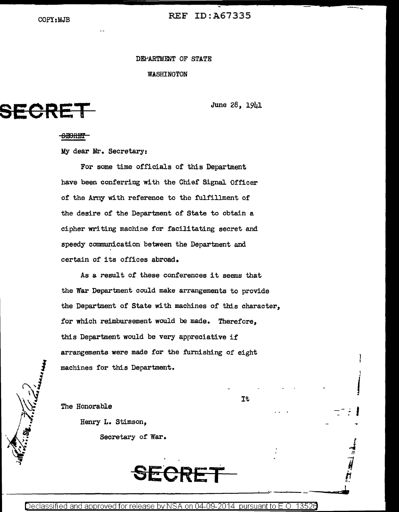COPY:MJB REF ID:A67335

DEPARTMENT OF STATE

\'fASHINGTON

**SECRET** June 28, 1941

It

1

I

 $\frac{1}{2}$ 

## <del>SEORET</del>

My dear Mr. Secretary:

For some time officials of this Department have been conferring with the Chief Signal. Officer of the Arny with reference to the fulfillment of the desire of the Department of State to obtain a cipher writing machine for facilitating secret and speedy communication between the Department and certain of its offices abroad.

As a result *of* these conferences it seems that the War Department could make arrangements to provide the Department of State with machines of this character, for which reimbursement would be made. Therefore, this Department would be very appreciative if arrangements were made for the furnishing of eight machines for this Department.

The Honorable

Henry L. Stimson,

Secretary of War.

Declassified and approved for release by NSA on 04-09-2014 pursuant to E.O. 13526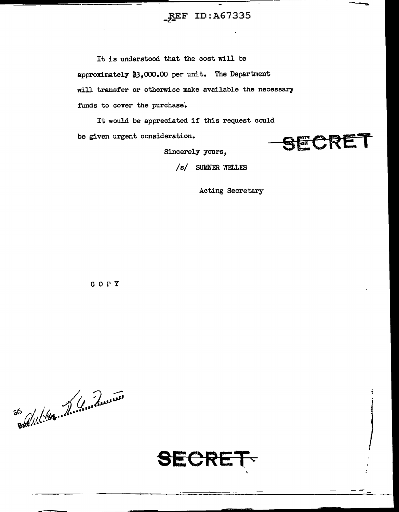## $~$ <u>REF</u> ID:A67335

It is understood that the cost will be approximately \$3,000.00 per unit. The Department will transfer or otherwise make available the necessary funds to cover the purchase.

It would be appreciated if this request could be given urgent consideration.

SECRET

---~

/ s/ SUMNER WELLES

Sincerely yours,

Acting Secretary

c 0 p y

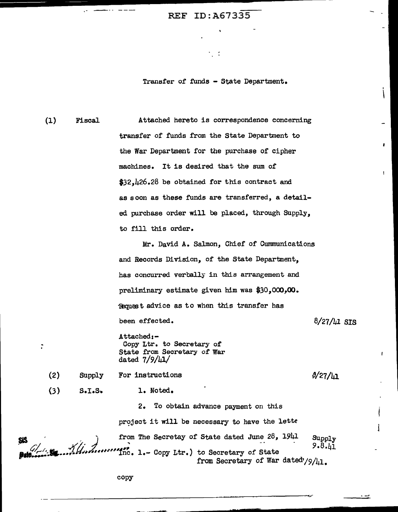## REF ID:A67335

. . . . .

Tranafer of funds - State Department.

 $\ddot{\phantom{0}}$ 

(1) Fiscal Attached hereto is correspondence concerning transfer of funds from the State Department to the War Department for the purchase of cipher machines. It is desired that the sum of \$32,426.28 be obtained for this contract and as soon as these funds are transferred, a detailed purchase order will be placed, through Supply, to fill this order.

> Mr. David A. Salmon, Chief of Cummunications and Records Division, of the State Department, has concurred verbally in this arrangement and preliminary estimate given him was \$30,000,00. Request advice as to when this transfer has been effected.  $8/27/\mu$ l SIS

Attached:-Copy Ltr. to Secretary of State from Secretary of War dated 7/9/41/

 $0/27/\mu$ 1

(3)  $S-I.S.$ 

Supply

(2)

÷

1. Noted.

For instructions

2. To obtain advance payment on this project it will be necessary to have the lette  $\begin{array}{cccc} \text{SIS} \end{array}$  , and  $\begin{array}{cccc} \text{from The Secretary of State dated June 28, 1941} & \text{Supply} \end{array}$ 9.8.41 <sup>9.8</sup>.41 <sup>9.8</sup>.41 from Secretary of War dated'/9/41.

copy